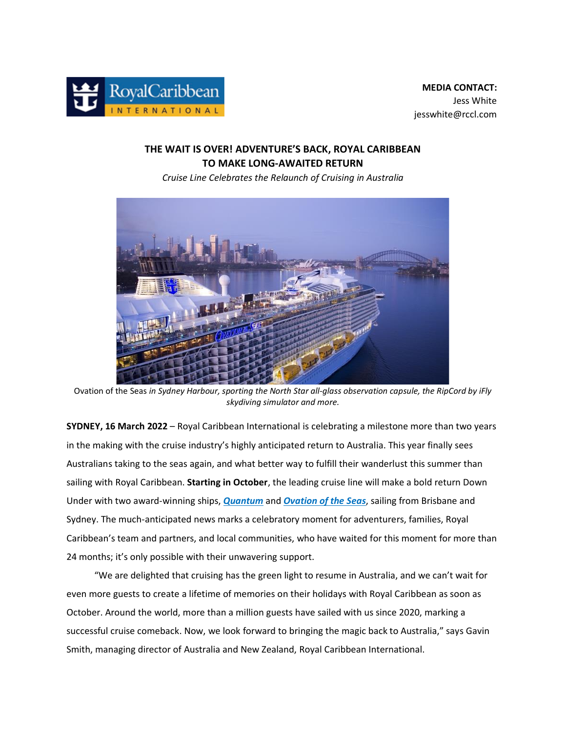

## **THE WAIT IS OVER! ADVENTURE'S BACK, ROYAL CARIBBEAN TO MAKE LONG-AWAITED RETURN**

*Cruise Line Celebrates the Relaunch of Cruising in Australia*



Ovation of the Seas *in Sydney Harbour, sporting the North Star all-glass observation capsule, the RipCord by iFly skydiving simulator and more.*

**SYDNEY, 16 March 2022** – Royal Caribbean International is celebrating a milestone more than two years in the making with the cruise industry's highly anticipated return to Australia. This year finally sees Australians taking to the seas again, and what better way to fulfill their wanderlust this summer than sailing with Royal Caribbean. **Starting in October**, the leading cruise line will make a bold return Down Under with two award-winning ships, *[Quantum](https://www.royalcaribbean.com/aus/en/cruise-ships/quantum-of-the-seas?ecid=pr_int_pblc_r_wb_3338)* and *[Ovation of the Seas](https://www.royalcaribbean.com/aus/en/cruise-ships/ovation-of-the-seas?ecid=pr_int_pblc_r_wb_3338)*, sailing from Brisbane and Sydney. The much-anticipated news marks a celebratory moment for adventurers, families, Royal Caribbean's team and partners, and local communities, who have waited for this moment for more than 24 months; it's only possible with their unwavering support.

 "We are delighted that cruising has the green light to resume in Australia, and we can't wait for even more guests to create a lifetime of memories on their holidays with Royal Caribbean as soon as October. Around the world, more than a million guests have sailed with us since 2020, marking a successful cruise comeback. Now, we look forward to bringing the magic back to Australia," says Gavin Smith, managing director of Australia and New Zealand, Royal Caribbean International.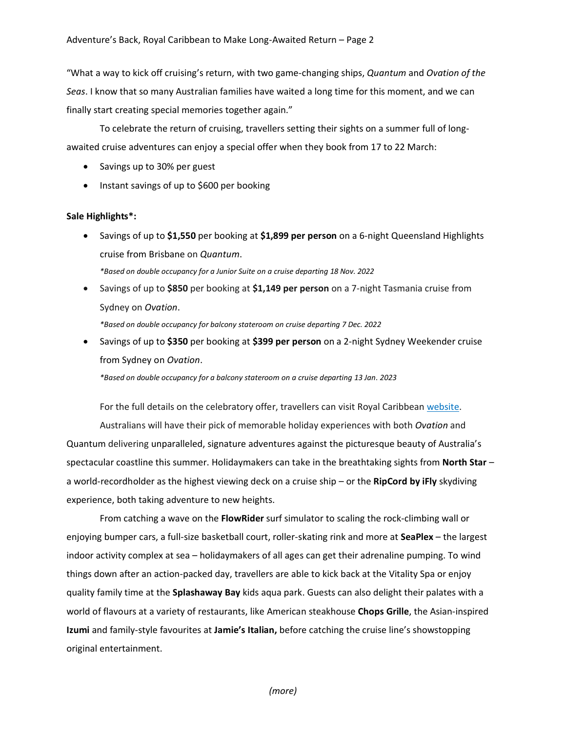"What a way to kick off cruising's return, with two game-changing ships, *Quantum* and *Ovation of the Seas*. I know that so many Australian families have waited a long time for this moment, and we can finally start creating special memories together again."

 To celebrate the return of cruising, travellers setting their sights on a summer full of longawaited cruise adventures can enjoy a special offer when they book from 17 to 22 March:

- Savings up to 30% per guest
- Instant savings of up to \$600 per booking

## **Sale Highlights\*:**

- Savings of up to **\$1,550** per booking at **\$1,899 per person** on a 6-night Queensland Highlights cruise from Brisbane on *Quantum*. *\*Based on double occupancy for a Junior Suite on a cruise departing 18 Nov. 2022*
- Savings of up to **\$850** per booking at **\$1,149 per person** on a 7-night Tasmania cruise from Sydney on *Ovation*. *\*Based on double occupancy for balcony stateroom on cruise departing 7 Dec. 2022*
- Savings of up to **\$350** per booking at **\$399 per person** on a 2-night Sydney Weekender cruise from Sydney on *Ovation*.

*\*Based on double occupancy for a balcony stateroom on a cruise departing 13 Jan. 2023*

For the full details on the celebratory offer, travellers can visit Royal Caribbean [website.](https://www.royalcaribbean.com/aus/en/cruise-deals?ecid=pr_int_pblc_r_wb_3338)

Australians will have their pick of memorable holiday experiences with both *Ovation* and Quantum delivering unparalleled, signature adventures against the picturesque beauty of Australia's spectacular coastline this summer. Holidaymakers can take in the breathtaking sights from **North Star** – a world-recordholder as the highest viewing deck on a cruise ship – or the **RipCord by iFly** skydiving experience, both taking adventure to new heights.

From catching a wave on the **FlowRider** surf simulator to scaling the rock-climbing wall or enjoying bumper cars, a full-size basketball court, roller-skating rink and more at **SeaPlex** – the largest indoor activity complex at sea – holidaymakers of all ages can get their adrenaline pumping. To wind things down after an action-packed day, travellers are able to kick back at the Vitality Spa or enjoy quality family time at the **Splashaway Bay** kids aqua park. Guests can also delight their palates with a world of flavours at a variety of restaurants, like American steakhouse **Chops Grille**, the Asian-inspired **Izumi** and family-style favourites at **Jamie's Italian,** before catching the cruise line's showstopping original entertainment.